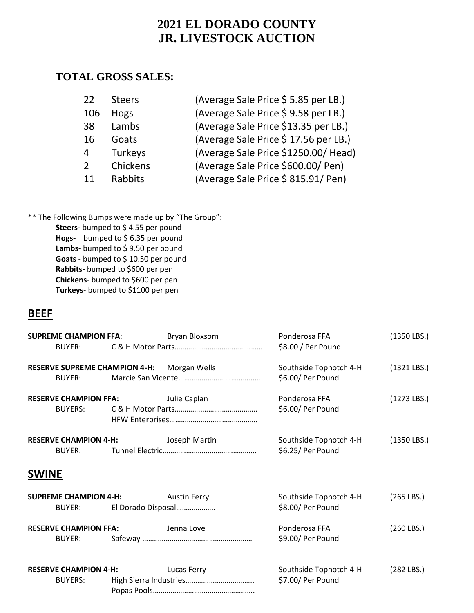### **TOTAL GROSS SALES:**

| 22            | <b>Steers</b> | (Average Sale Price \$ 5.85 per LB.) |
|---------------|---------------|--------------------------------------|
| 106           | <b>Hogs</b>   | (Average Sale Price \$9.58 per LB.)  |
| 38            | Lambs         | (Average Sale Price \$13.35 per LB.) |
| 16            | Goats         | (Average Sale Price \$17.56 per LB.) |
| 4             | Turkeys       | (Average Sale Price \$1250.00/ Head) |
| $\mathcal{P}$ | Chickens      | (Average Sale Price \$600.00/ Pen)   |
| 11            | Rabbits       | (Average Sale Price \$815.91/ Pen)   |

\*\* The Following Bumps were made up by "The Group":

**Steers-** bumped to \$ 4.55 per pound **Hogs-** bumped to \$ 6.35 per pound Lambs- bumped to \$9.50 per pound **Goats** - bumped to \$ 10.50 per pound **Rabbits-** bumped to \$600 per pen **Chickens**- bumped to \$600 per pen **Turkeys**- bumped to \$1100 per pen

## **BEEF**

| <b>SUPREME CHAMPION FFA:</b>                   |                    | Bryan Bloxsom       | Ponderosa FFA                               | $(1350$ LBS.) |
|------------------------------------------------|--------------------|---------------------|---------------------------------------------|---------------|
| BUYER:                                         |                    |                     | \$8.00 / Per Pound                          |               |
| <b>RESERVE SUPREME CHAMPION 4-H:</b>           |                    | Morgan Wells        | Southside Topnotch 4-H                      | $(1321$ LBS.) |
| <b>BUYER:</b>                                  |                    |                     | \$6.00/ Per Pound                           |               |
| <b>RESERVE CHAMPION FFA:</b>                   |                    | Julie Caplan        | Ponderosa FFA                               | $(1273$ LBS.) |
| <b>BUYERS:</b>                                 |                    |                     | \$6.00/ Per Pound                           |               |
| <b>RESERVE CHAMPION 4-H:</b>                   |                    | Joseph Martin       | Southside Topnotch 4-H                      | $(1350$ LBS.) |
| BUYER:                                         |                    |                     | \$6.25/ Per Pound                           |               |
| <b>SWINE</b>                                   |                    |                     |                                             |               |
| <b>SUPREME CHAMPION 4-H:</b>                   |                    | <b>Austin Ferry</b> | Southside Topnotch 4-H                      | $(265$ LBS.)  |
| BUYER:                                         | El Dorado Disposal |                     | \$8.00/ Per Pound                           |               |
| <b>RESERVE CHAMPION FFA:</b>                   |                    | Jenna Love          | Ponderosa FFA                               | $(260$ LBS.)  |
| BUYER:                                         |                    |                     | \$9.00/ Per Pound                           |               |
|                                                |                    |                     |                                             |               |
| <b>RESERVE CHAMPION 4-H:</b><br><b>BUYERS:</b> |                    | Lucas Ferry         | Southside Topnotch 4-H<br>\$7.00/ Per Pound | $(282$ LBS.)  |
|                                                |                    |                     |                                             |               |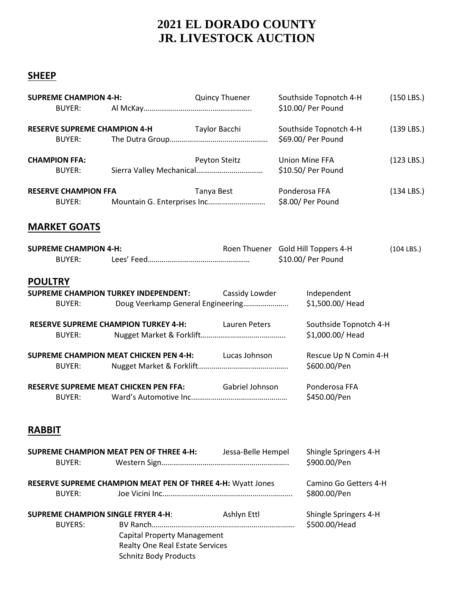#### **SHEEP**

| <b>SUPREME CHAMPION 4-H:</b><br>BUYER:                                                                                           |                                                                                    |               | <b>Quincy Thuener</b>                            |               | Southside Topnotch 4-H<br>\$10.00/ Per Pound                                                           | $(150$ LBS.) |
|----------------------------------------------------------------------------------------------------------------------------------|------------------------------------------------------------------------------------|---------------|--------------------------------------------------|---------------|--------------------------------------------------------------------------------------------------------|--------------|
| <b>RESERVE SUPREME CHAMPION 4-H</b><br>BUYER:                                                                                    |                                                                                    | Taylor Bacchi |                                                  |               | Southside Topnotch 4-H<br>\$69.00/ Per Pound                                                           | $(139$ LBS.) |
| <b>CHAMPION FFA:</b><br>BUYER:                                                                                                   |                                                                                    | Peyton Steitz |                                                  |               | <b>Union Mine FFA</b><br>\$10.50/ Per Pound                                                            | $(123$ LBS.) |
| <b>RESERVE CHAMPION FFA</b><br><b>BUYER:</b>                                                                                     |                                                                                    | Tanya Best    |                                                  | Ponderosa FFA |                                                                                                        | $(134$ LBS.) |
| <b>MARKET GOATS</b>                                                                                                              |                                                                                    |               |                                                  |               |                                                                                                        |              |
| <b>SUPREME CHAMPION 4-H:</b><br><b>BUYER:</b>                                                                                    |                                                                                    |               | Roen Thuener Gold Hill Toppers 4-H               |               | \$10.00/ Per Pound                                                                                     | $(104$ LBS.) |
| <b>POULTRY</b><br><b>SUPREME CHAMPION TURKEY INDEPENDENT:</b><br>BUYER:<br><b>RESERVE SUPREME CHAMPION TURKEY 4-H:</b><br>BUYER: | Doug Veerkamp General Engineering<br><b>SUPREME CHAMPION MEAT CHICKEN PEN 4-H:</b> |               | Cassidy Lowder<br>Lauren Peters<br>Lucas Johnson |               | Independent<br>\$1,500.00/ Head<br>Southside Topnotch 4-H<br>\$1,000.00/ Head<br>Rescue Up N Comin 4-H |              |
| BUYER:<br><b>RESERVE SUPREME MEAT CHICKEN PEN FFA:</b><br><b>BUYER:</b>                                                          |                                                                                    |               | Gabriel Johnson                                  |               | \$600.00/Pen<br>Ponderosa FFA<br>\$450.00/Pen                                                          |              |
| <b>RABBIT</b>                                                                                                                    |                                                                                    |               |                                                  |               |                                                                                                        |              |
| <b>BUYER:</b>                                                                                                                    | <b>SUPREME CHAMPION MEAT PEN OF THREE 4-H:</b>                                     |               | Jessa-Belle Hempel                               |               | Shingle Springers 4-H<br>\$900.00/Pen                                                                  |              |

| RESERVE SUPREME CHAMPION MEAT PEN OF THREE 4-H: Wyatt Jones | Camino Go Getters 4-H |              |
|-------------------------------------------------------------|-----------------------|--------------|
| BUYER:                                                      |                       | \$800.00/Pen |

**SUPREME CHAMPION SINGLE FRYER 4-H:** Ashlyn Ettl Shingle Springers 4-H

BUYERS: BV Ranch………………………………………………………………. \$500.00/Head Capital Property Management Realty One Real Estate Services Schnitz Body Products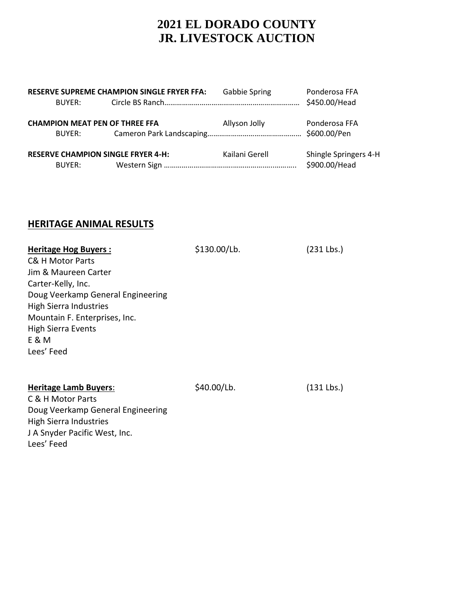| <b>RESERVE SUPREME CHAMPION SINGLE FRYER FFA:</b> |                                                 |                                           | <b>Gabbie Spring</b> | Ponderosa FFA                          |
|---------------------------------------------------|-------------------------------------------------|-------------------------------------------|----------------------|----------------------------------------|
|                                                   | BUYER:                                          |                                           |                      | \$450.00/Head                          |
|                                                   | <b>CHAMPION MEAT PEN OF THREE FFA</b><br>BUYER: |                                           | Allyson Jolly        | Ponderosa FFA                          |
|                                                   | BUYER:                                          | <b>RESERVE CHAMPION SINGLE FRYER 4-H:</b> | Kailani Gerell       | Shingle Springers 4-H<br>\$900.00/Head |

#### **HERITAGE ANIMAL RESULTS**

| <b>Heritage Hog Buyers:</b><br>C& H Motor Parts<br>Jim & Maureen Carter<br>Carter-Kelly, Inc.<br>Doug Veerkamp General Engineering<br><b>High Sierra Industries</b><br>Mountain F. Enterprises, Inc.<br><b>High Sierra Events</b><br>E & M<br>Lees' Feed | \$130.00/Lb. | $(231$ Lbs.) |
|----------------------------------------------------------------------------------------------------------------------------------------------------------------------------------------------------------------------------------------------------------|--------------|--------------|
| <b>Heritage Lamb Buyers:</b><br>C & H Motor Parts<br>Doug Veerkamp General Engineering<br><b>High Sierra Industries</b><br>J A Snyder Pacific West, Inc.<br>Lees' Feed                                                                                   | \$40.00/Lb.  | $(131$ Lbs.) |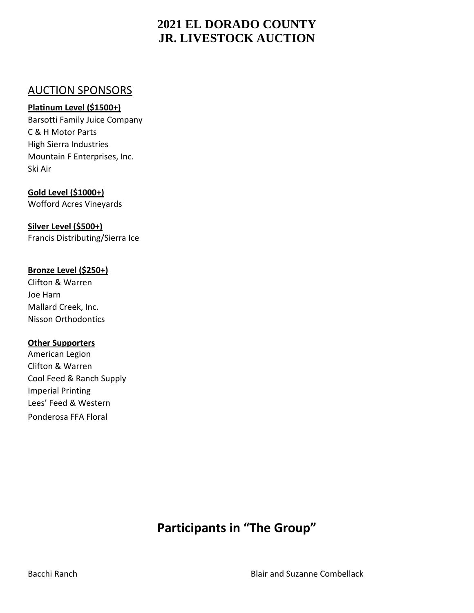## AUCTION SPONSORS

#### **Platinum Level (\$1500+)**

Barsotti Family Juice Company C & H Motor Parts High Sierra Industries Mountain F Enterprises, Inc. Ski Air

**Gold Level (\$1000+)** Wofford Acres Vineyards

**Silver Level (\$500+)** Francis Distributing/Sierra Ice

#### **Bronze Level (\$250+)**

Clifton & Warren Joe Harn Mallard Creek, Inc. Nisson Orthodontics

#### **Other Supporters**

American Legion Clifton & Warren Cool Feed & Ranch Supply Imperial Printing Lees' Feed & Western Ponderosa FFA Floral

# **Participants in "The Group"**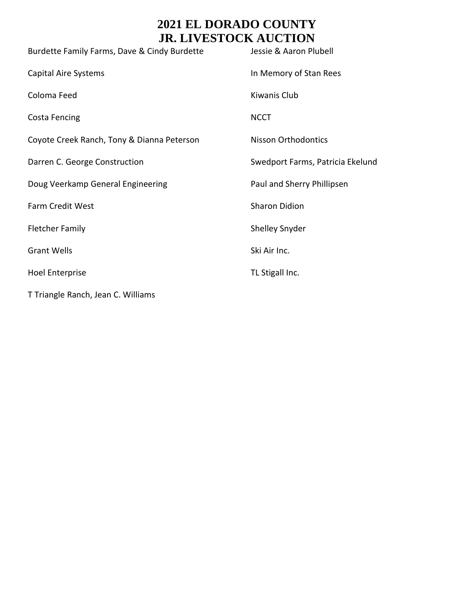| Burdette Family Farms, Dave & Cindy Burdette | Jessie & Aaron Plubell           |
|----------------------------------------------|----------------------------------|
| <b>Capital Aire Systems</b>                  | In Memory of Stan Rees           |
| Coloma Feed                                  | Kiwanis Club                     |
| <b>Costa Fencing</b>                         | <b>NCCT</b>                      |
| Coyote Creek Ranch, Tony & Dianna Peterson   | <b>Nisson Orthodontics</b>       |
| Darren C. George Construction                | Swedport Farms, Patricia Ekelund |
| Doug Veerkamp General Engineering            | Paul and Sherry Phillipsen       |
| Farm Credit West                             | <b>Sharon Didion</b>             |
| <b>Fletcher Family</b>                       | <b>Shelley Snyder</b>            |
| <b>Grant Wells</b>                           | Ski Air Inc.                     |
| <b>Hoel Enterprise</b>                       | TL Stigall Inc.                  |
| T Triangle Ranch, Jean C. Williams           |                                  |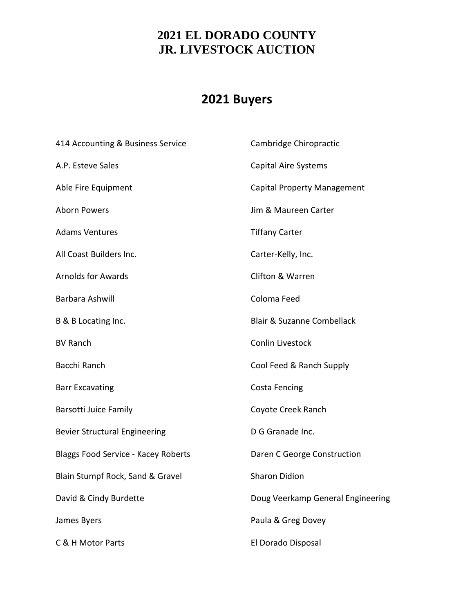# **2021 Buyers**

| 414 Accounting & Business Service    | Cambridge Chiropractic                |
|--------------------------------------|---------------------------------------|
| A.P. Esteve Sales                    | <b>Capital Aire Systems</b>           |
| Able Fire Equipment                  | <b>Capital Property Management</b>    |
| <b>Aborn Powers</b>                  | Jim & Maureen Carter                  |
| <b>Adams Ventures</b>                | <b>Tiffany Carter</b>                 |
| All Coast Builders Inc.              | Carter-Kelly, Inc.                    |
| <b>Arnolds for Awards</b>            | <b>Clifton &amp; Warren</b>           |
| Barbara Ashwill                      | Coloma Feed                           |
| B & B Locating Inc.                  | <b>Blair &amp; Suzanne Combellack</b> |
| <b>BV Ranch</b>                      | Conlin Livestock                      |
| Bacchi Ranch                         | Cool Feed & Ranch Supply              |
| <b>Barr Excavating</b>               | <b>Costa Fencing</b>                  |
| <b>Barsotti Juice Family</b>         | Coyote Creek Ranch                    |
| <b>Bevier Structural Engineering</b> | D G Granade Inc.                      |
| Blaggs Food Service - Kacey Roberts  | Daren C George Construction           |
| Blain Stumpf Rock, Sand & Gravel     | <b>Sharon Didion</b>                  |
| David & Cindy Burdette               | Doug Veerkamp General Engineering     |
| James Byers                          | Paula & Greg Dovey                    |
| C & H Motor Parts                    | El Dorado Disposal                    |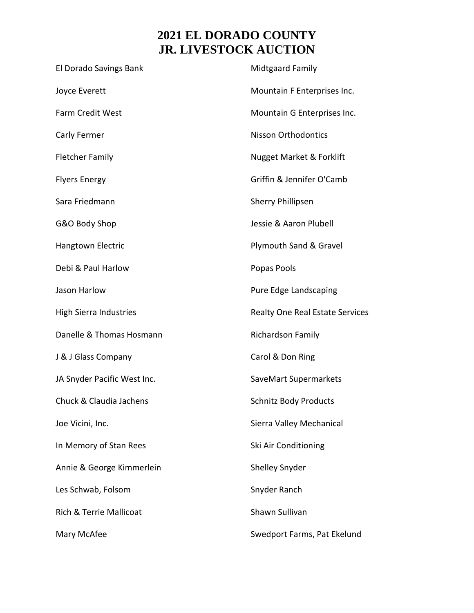| El Dorado Savings Bank        | <b>Midtgaard Family</b>             |
|-------------------------------|-------------------------------------|
| Joyce Everett                 | Mountain F Enterprises Inc.         |
| Farm Credit West              | Mountain G Enterprises Inc.         |
| Carly Fermer                  | <b>Nisson Orthodontics</b>          |
| <b>Fletcher Family</b>        | <b>Nugget Market &amp; Forklift</b> |
| <b>Flyers Energy</b>          | Griffin & Jennifer O'Camb           |
| Sara Friedmann                | <b>Sherry Phillipsen</b>            |
| G&O Body Shop                 | Jessie & Aaron Plubell              |
| Hangtown Electric             | Plymouth Sand & Gravel              |
| Debi & Paul Harlow            | Popas Pools                         |
| Jason Harlow                  | Pure Edge Landscaping               |
| <b>High Sierra Industries</b> | Realty One Real Estate Services     |
| Danelle & Thomas Hosmann      | Richardson Family                   |
| J & J Glass Company           | Carol & Don Ring                    |
| JA Snyder Pacific West Inc.   | SaveMart Supermarkets               |
| Chuck & Claudia Jachens       | <b>Schnitz Body Products</b>        |
| Joe Vicini, Inc.              | Sierra Valley Mechanical            |
| In Memory of Stan Rees        | Ski Air Conditioning                |
| Annie & George Kimmerlein     | Shelley Snyder                      |
| Les Schwab, Folsom            | Snyder Ranch                        |
| Rich & Terrie Mallicoat       | Shawn Sullivan                      |
| Mary McAfee                   | Swedport Farms, Pat Ekelund         |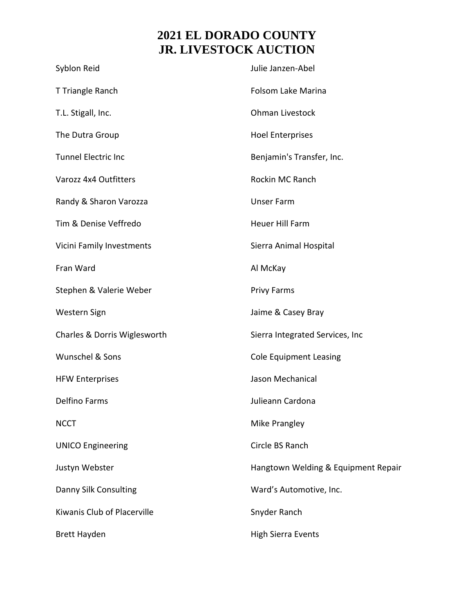| Syblon Reid                  | Julie Janzen-Abel                   |
|------------------------------|-------------------------------------|
| T Triangle Ranch             | Folsom Lake Marina                  |
| T.L. Stigall, Inc.           | Ohman Livestock                     |
| The Dutra Group              | <b>Hoel Enterprises</b>             |
| <b>Tunnel Electric Inc</b>   | Benjamin's Transfer, Inc.           |
| Varozz 4x4 Outfitters        | Rockin MC Ranch                     |
| Randy & Sharon Varozza       | <b>Unser Farm</b>                   |
| Tim & Denise Veffredo        | Heuer Hill Farm                     |
| Vicini Family Investments    | Sierra Animal Hospital              |
| Fran Ward                    | Al McKay                            |
| Stephen & Valerie Weber      | <b>Privy Farms</b>                  |
| Western Sign                 | Jaime & Casey Bray                  |
| Charles & Dorris Wiglesworth | Sierra Integrated Services, Inc     |
| Wunschel & Sons              | <b>Cole Equipment Leasing</b>       |
| <b>HFW Enterprises</b>       | Jason Mechanical                    |
| <b>Delfino Farms</b>         | Julieann Cardona                    |
| <b>NCCT</b>                  | Mike Prangley                       |
| <b>UNICO Engineering</b>     | Circle BS Ranch                     |
| Justyn Webster               | Hangtown Welding & Equipment Repair |
| Danny Silk Consulting        | Ward's Automotive, Inc.             |
| Kiwanis Club of Placerville  | Snyder Ranch                        |
| <b>Brett Hayden</b>          | <b>High Sierra Events</b>           |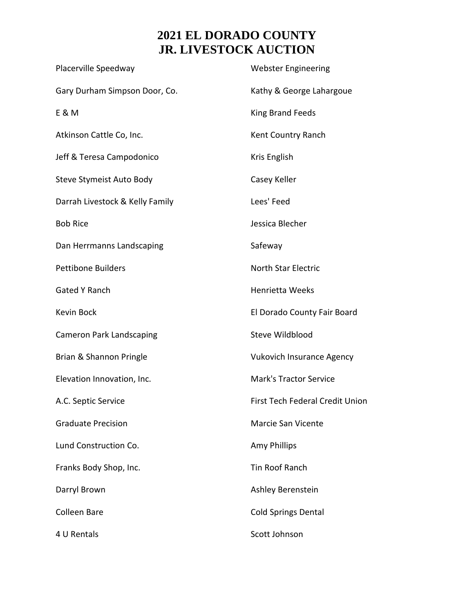| Placerville Speedway            | <b>Webster Engineering</b>       |
|---------------------------------|----------------------------------|
| Gary Durham Simpson Door, Co.   | Kathy & George Lahargoue         |
| E & M                           | King Brand Feeds                 |
| Atkinson Cattle Co, Inc.        | Kent Country Ranch               |
| Jeff & Teresa Campodonico       | Kris English                     |
| Steve Stymeist Auto Body        | Casey Keller                     |
| Darrah Livestock & Kelly Family | Lees' Feed                       |
| <b>Bob Rice</b>                 | Jessica Blecher                  |
| Dan Herrmanns Landscaping       | Safeway                          |
| <b>Pettibone Builders</b>       | <b>North Star Electric</b>       |
| <b>Gated Y Ranch</b>            | <b>Henrietta Weeks</b>           |
| Kevin Bock                      | El Dorado County Fair Board      |
| <b>Cameron Park Landscaping</b> | Steve Wildblood                  |
| Brian & Shannon Pringle         | <b>Vukovich Insurance Agency</b> |
| Elevation Innovation, Inc.      | <b>Mark's Tractor Service</b>    |
| A.C. Septic Service             | First Tech Federal Credit Union  |
| <b>Graduate Precision</b>       | <b>Marcie San Vicente</b>        |
| Lund Construction Co.           | Amy Phillips                     |
| Franks Body Shop, Inc.          | <b>Tin Roof Ranch</b>            |
| Darryl Brown                    | Ashley Berenstein                |
| <b>Colleen Bare</b>             | <b>Cold Springs Dental</b>       |
| 4 U Rentals                     | Scott Johnson                    |